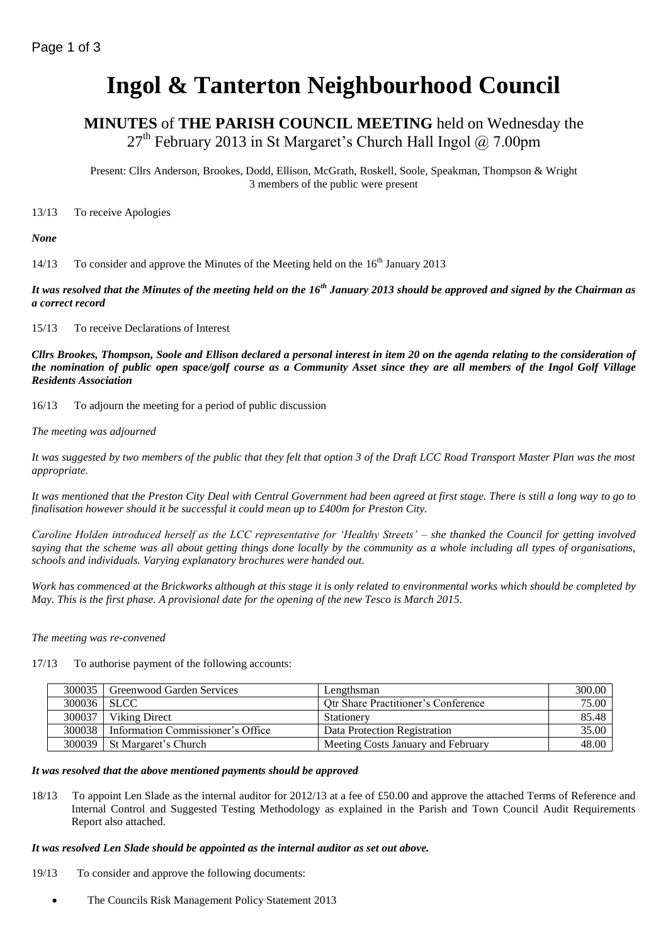# **Ingol & Tanterton Neighbourhood Council**

**MINUTES** of **THE PARISH COUNCIL MEETING** held on Wednesday the  $27<sup>th</sup>$  February 2013 in St Margaret's Church Hall Ingol @ 7.00pm

Present: Cllrs Anderson, Brookes, Dodd, Ellison, McGrath, Roskell, Soole, Speakman, Thompson & Wright 3 members of the public were present

13/13 To receive Apologies

*None*

14/13 To consider and approve the Minutes of the Meeting held on the 16<sup>th</sup> January 2013

*It was resolved that the Minutes of the meeting held on the 16th January 2013 should be approved and signed by the Chairman as a correct record*

15/13 To receive Declarations of Interest

*Cllrs Brookes, Thompson, Soole and Ellison declared a personal interest in item 20 on the agenda relating to the consideration of the nomination of public open space/golf course as a Community Asset since they are all members of the Ingol Golf Village Residents Association*

16/13 To adjourn the meeting for a period of public discussion

*The meeting was adjourned*

*It was suggested by two members of the public that they felt that option 3 of the Draft LCC Road Transport Master Plan was the most appropriate.*

*It was mentioned that the Preston City Deal with Central Government had been agreed at first stage. There is still a long way to go to finalisation however should it be successful it could mean up to £400m for Preston City.*

*Caroline Holden introduced herself as the LCC representative for 'Healthy Streets' – she thanked the Council for getting involved saying that the scheme was all about getting things done locally by the community as a whole including all types of organisations, schools and individuals. Varying explanatory brochures were handed out.*

*Work has commenced at the Brickworks although at this stage it is only related to environmental works which should be completed by May. This is the first phase. A provisional date for the opening of the new Tesco is March 2015.*

*The meeting was re-convened*

17/13 To authorise payment of the following accounts:

|             | 300035   Greenwood Garden Services | Lengthsman                                 | 300.00 |
|-------------|------------------------------------|--------------------------------------------|--------|
| 300036 SLCC |                                    | <b>Qtr Share Practitioner's Conference</b> | 75.00  |
| 300037      | Viking Direct                      | <b>Stationery</b>                          | 85.48  |
| 300038      | Information Commissioner's Office  | Data Protection Registration               | 35.00  |
|             | 300039   St Margaret's Church      | Meeting Costs January and February         | 48.00  |

#### *It was resolved that the above mentioned payments should be approved*

18/13 To appoint Len Slade as the internal auditor for 2012/13 at a fee of £50.00 and approve the attached Terms of Reference and Internal Control and Suggested Testing Methodology as explained in the Parish and Town Council Audit Requirements Report also attached.

#### *It was resolved Len Slade should be appointed as the internal auditor as set out above.*

- 19/13 To consider and approve the following documents:
	- The Councils Risk Management Policy Statement 2013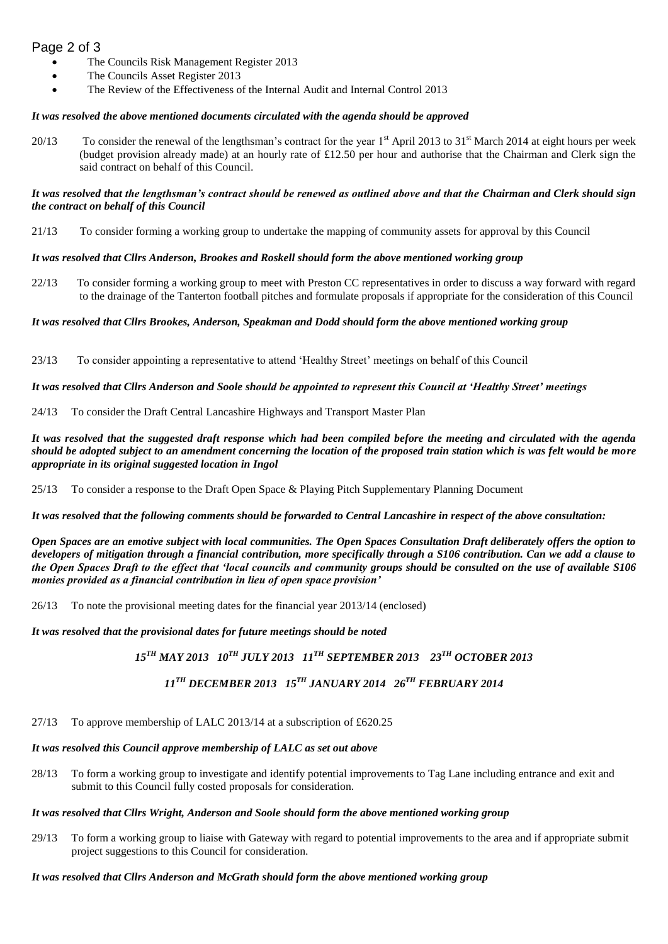# Page 2 of 3

- The Councils Risk Management Register 2013
- The Councils Asset Register 2013
- The Review of the Effectiveness of the Internal Audit and Internal Control 2013

#### *It was resolved the above mentioned documents circulated with the agenda should be approved*

20/13 To consider the renewal of the lengthsman's contract for the year  $1<sup>st</sup>$  April 2013 to 31 $<sup>st</sup>$  March 2014 at eight hours per week</sup> (budget provision already made) at an hourly rate of £12.50 per hour and authorise that the Chairman and Clerk sign the said contract on behalf of this Council.

#### *It was resolved that the lengthsman's contract should be renewed as outlined above and that the Chairman and Clerk should sign the contract on behalf of this Council*

21/13 To consider forming a working group to undertake the mapping of community assets for approval by this Council

#### *It was resolved that Cllrs Anderson, Brookes and Roskell should form the above mentioned working group*

22/13 To consider forming a working group to meet with Preston CC representatives in order to discuss a way forward with regard to the drainage of the Tanterton football pitches and formulate proposals if appropriate for the consideration of this Council

#### *It was resolved that Cllrs Brookes, Anderson, Speakman and Dodd should form the above mentioned working group*

23/13 To consider appointing a representative to attend 'Healthy Street' meetings on behalf of this Council

#### *It was resolved that Cllrs Anderson and Soole should be appointed to represent this Council at 'Healthy Street' meetings*

24/13 To consider the Draft Central Lancashire Highways and Transport Master Plan

*It was resolved that the suggested draft response which had been compiled before the meeting and circulated with the agenda should be adopted subject to an amendment concerning the location of the proposed train station which is was felt would be more appropriate in its original suggested location in Ingol*

25/13 To consider a response to the Draft Open Space & Playing Pitch Supplementary Planning Document

*It was resolved that the following comments should be forwarded to Central Lancashire in respect of the above consultation:*

*Open Spaces are an emotive subject with local communities. The Open Spaces Consultation Draft deliberately offers the option to developers of mitigation through a financial contribution, more specifically through a S106 contribution. Can we add a clause to the Open Spaces Draft to the effect that 'local councils and community groups should be consulted on the use of available S106 monies provided as a financial contribution in lieu of open space provision'*

26/13 To note the provisional meeting dates for the financial year 2013/14 (enclosed)

#### *It was resolved that the provisional dates for future meetings should be noted*

*15TH MAY 2013 10TH JULY 2013 11TH SEPTEMBER 2013 23TH OCTOBER 2013*

# *11TH DECEMBER 2013 15TH JANUARY 2014 26TH FEBRUARY 2014*

27/13 To approve membership of LALC 2013/14 at a subscription of £620.25

## *It was resolved this Council approve membership of LALC as set out above*

28/13 To form a working group to investigate and identify potential improvements to Tag Lane including entrance and exit and submit to this Council fully costed proposals for consideration.

## *It was resolved that Cllrs Wright, Anderson and Soole should form the above mentioned working group*

29/13 To form a working group to liaise with Gateway with regard to potential improvements to the area and if appropriate submit project suggestions to this Council for consideration.

*It was resolved that Cllrs Anderson and McGrath should form the above mentioned working group*